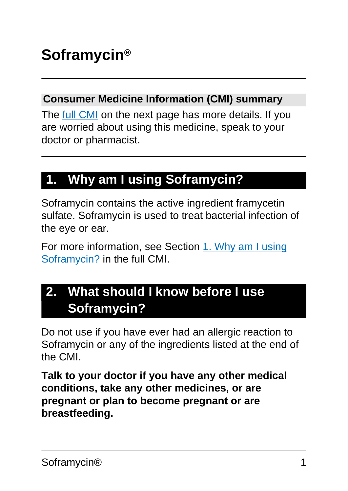#### **Consumer Medicine Information (CMI) summary**

The [full CMI](#page-4-0) on the next page has more details. If you are worried about using this medicine, speak to your doctor or pharmacist.

# **1. Why am I using Soframycin?**

Soframycin contains the active ingredient framycetin sulfate. Soframycin is used to treat bacterial infection of the eye or ear.

For more information, see Section [1. Why am I using](#page-4-1) [Soframycin?](#page-4-1) in the full CMI.

# **2. What should I know before I use Soframycin?**

Do not use if you have ever had an allergic reaction to Soframycin or any of the ingredients listed at the end of the CMI.

**Talk to your doctor if you have any other medical conditions, take any other medicines, or are pregnant or plan to become pregnant or are breastfeeding.**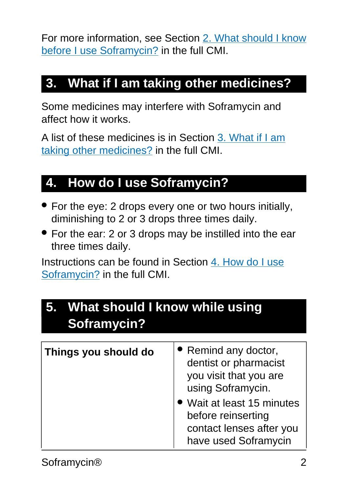For more information, see Section [2. What should I know](#page-5-0) [before I use Soframycin?](#page-5-0) in the full CMI.

# **3. What if I am taking other medicines?**

Some medicines may interfere with Soframycin and affect how it works.

A list of these medicines is in Section [3. What if I am](#page-7-0) [taking other medicines?](#page-7-0) in the full CMI.

# **4. How do I use Soframycin?**

- For the eye: 2 drops every one or two hours initially, diminishing to 2 or 3 drops three times daily.
- For the ear: 2 or 3 drops may be instilled into the ear three times daily.

Instructions can be found in Section [4. How do I use](#page-7-1) [Soframycin?](#page-7-1) in the full CMI.

| 5. What should I know while using<br>Soframycin? |                                                                                                      |  |
|--------------------------------------------------|------------------------------------------------------------------------------------------------------|--|
| Things you should do                             | • Remind any doctor,<br>dentist or pharmacist<br>you visit that you are<br>using Soframycin.         |  |
|                                                  | • Wait at least 15 minutes<br>before reinserting<br>contact lenses after you<br>have used Soframycin |  |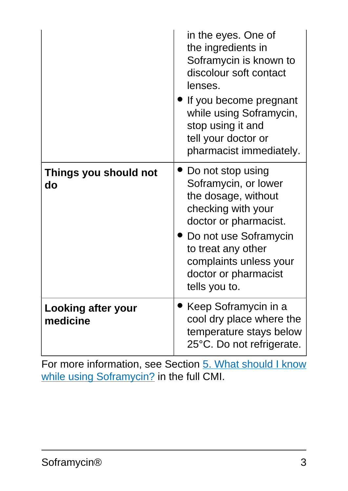|                                | in the eyes. One of<br>the ingredients in<br>Soframycin is known to<br>discolour soft contact<br>lenses.<br>If you become pregnant<br>while using Soframycin,<br>stop using it and<br>tell your doctor or<br>pharmacist immediately. |
|--------------------------------|--------------------------------------------------------------------------------------------------------------------------------------------------------------------------------------------------------------------------------------|
| Things you should not<br>do    | Do not stop using<br>Soframycin, or lower<br>the dosage, without<br>checking with your<br>doctor or pharmacist.<br>• Do not use Soframycin<br>to treat any other<br>complaints unless your<br>doctor or pharmacist<br>tells you to.  |
| Looking after your<br>medicine | Keep Soframycin in a<br>cool dry place where the<br>temperature stays below<br>25°C. Do not refrigerate.                                                                                                                             |

For more information, see Section [5. What should I know](#page-11-0) [while using Soframycin?](#page-11-0) in the full CMI.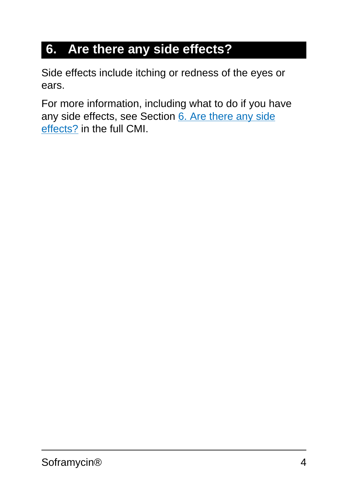# **6. Are there any side effects?**

Side effects include itching or redness of the eyes or ears.

For more information, including what to do if you have any side effects, see Section [6. Are there any side](#page-13-0) [effects?](#page-13-0) in the full CMI.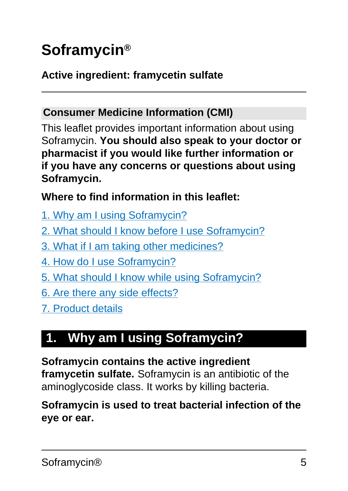# <span id="page-4-0"></span>**Soframycin®**

#### **Active ingredient: framycetin sulfate**

#### **Consumer Medicine Information (CMI)**

This leaflet provides important information about using Soframycin. **You should also speak to your doctor or pharmacist if you would like further information or if you have any concerns or questions about using Soframycin.**

#### **Where to find information in this leaflet:**

- [1. Why am I using Soframycin?](#page-4-1)
- [2. What should I know before I use Soframycin?](#page-5-0)
- [3. What if I am taking other medicines?](#page-7-0)
- [4. How do I use Soframycin?](#page-7-1)
- [5. What should I know while using Soframycin?](#page-11-0)
- [6. Are there any side effects?](#page-13-0)
- [7. Product details](#page-14-0)

# <span id="page-4-1"></span>**1. Why am I using Soframycin?**

**Soframycin contains the active ingredient framycetin sulfate.** Soframycin is an antibiotic of the aminoglycoside class. It works by killing bacteria.

#### **Soframycin is used to treat bacterial infection of the eye or ear.**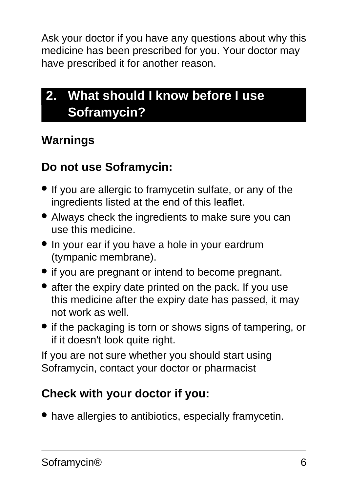Ask your doctor if you have any questions about why this medicine has been prescribed for you. Your doctor may have prescribed it for another reason.

# <span id="page-5-0"></span>**2. What should I know before I use Soframycin?**

### **Warnings**

### **Do not use Soframycin:**

- If you are allergic to framycetin sulfate, or any of the ingredients listed at the end of this leaflet.
- Always check the ingredients to make sure you can use this medicine.
- In your ear if you have a hole in your eardrum (tympanic membrane).
- if you are pregnant or intend to become pregnant.
- after the expiry date printed on the pack. If you use this medicine after the expiry date has passed, it may not work as well.
- if the packaging is torn or shows signs of tampering, or if it doesn't look quite right.

If you are not sure whether you should start using Soframycin, contact your doctor or pharmacist

### **Check with your doctor if you:**

• have allergies to antibiotics, especially framycetin.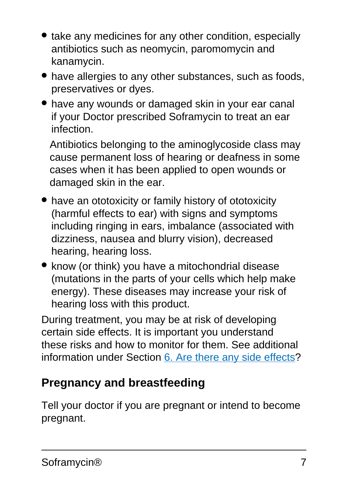- take any medicines for any other condition, especially antibiotics such as neomycin, paromomycin and kanamycin.
- have allergies to any other substances, such as foods, preservatives or dyes.
- have any wounds or damaged skin in your ear canal if your Doctor prescribed Soframycin to treat an ear infection.

Antibiotics belonging to the aminoglycoside class may cause permanent loss of hearing or deafness in some cases when it has been applied to open wounds or damaged skin in the ear.

- have an ototoxicity or family history of ototoxicity (harmful effects to ear) with signs and symptoms including ringing in ears, imbalance (associated with dizziness, nausea and blurry vision), decreased hearing, hearing loss.
- know (or think) you have a mitochondrial disease (mutations in the parts of your cells which help make energy). These diseases may increase your risk of hearing loss with this product.

During treatment, you may be at risk of developing certain side effects. It is important you understand these risks and how to monitor for them. See additional information under Section [6. Are there any side effects](#page-13-0)?

### **Pregnancy and breastfeeding**

Tell your doctor if you are pregnant or intend to become pregnant.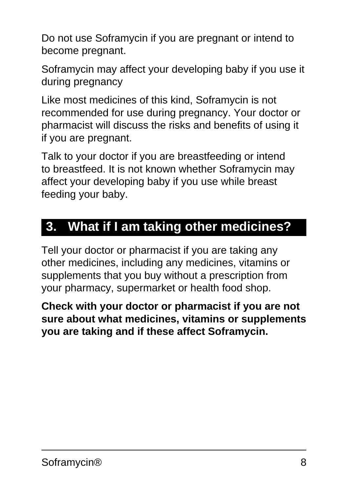Do not use Soframycin if you are pregnant or intend to become pregnant.

Soframycin may affect your developing baby if you use it during pregnancy

Like most medicines of this kind, Soframycin is not recommended for use during pregnancy. Your doctor or pharmacist will discuss the risks and benefits of using it if you are pregnant.

Talk to your doctor if you are breastfeeding or intend to breastfeed. It is not known whether Soframycin may affect your developing baby if you use while breast feeding your baby.

# <span id="page-7-0"></span>**3. What if I am taking other medicines?**

Tell your doctor or pharmacist if you are taking any other medicines, including any medicines, vitamins or supplements that you buy without a prescription from your pharmacy, supermarket or health food shop.

<span id="page-7-1"></span>**Check with your doctor or pharmacist if you are not sure about what medicines, vitamins or supplements you are taking and if these affect Soframycin.**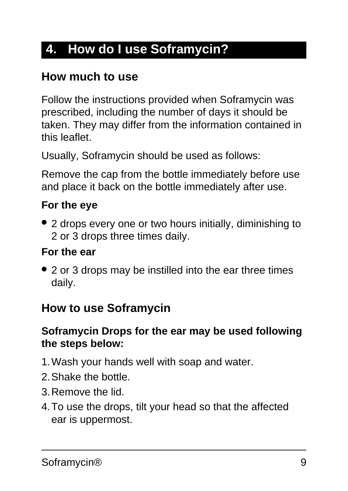# **4. How do I use Soframycin?**

### **How much to use**

Follow the instructions provided when Soframycin was prescribed, including the number of days it should be taken. They may differ from the information contained in this leaflet.

Usually, Soframycin should be used as follows:

Remove the cap from the bottle immediately before use and place it back on the bottle immediately after use.

#### **For the eye**

• 2 drops every one or two hours initially, diminishing to 2 or 3 drops three times daily.

#### **For the ear**

• 2 or 3 drops may be instilled into the ear three times daily.

#### **How to use Soframycin**

#### **Soframycin Drops for the ear may be used following the steps below:**

- 1.Wash your hands well with soap and water.
- 2.Shake the bottle.
- 3.Remove the lid.
- 4.To use the drops, tilt your head so that the affected ear is uppermost.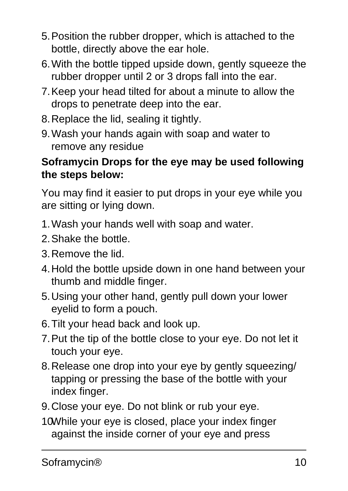- 5.Position the rubber dropper, which is attached to the bottle, directly above the ear hole.
- 6.With the bottle tipped upside down, gently squeeze the rubber dropper until 2 or 3 drops fall into the ear.
- 7.Keep your head tilted for about a minute to allow the drops to penetrate deep into the ear.
- 8.Replace the lid, sealing it tightly.
- 9.Wash your hands again with soap and water to remove any residue

#### **Soframycin Drops for the eye may be used following the steps below:**

You may find it easier to put drops in your eye while you are sitting or lying down.

- 1.Wash your hands well with soap and water.
- 2.Shake the bottle.
- 3.Remove the lid.
- 4.Hold the bottle upside down in one hand between your thumb and middle finger.
- 5.Using your other hand, gently pull down your lower eyelid to form a pouch.
- 6.Tilt your head back and look up.
- 7.Put the tip of the bottle close to your eye. Do not let it touch your eye.
- 8.Release one drop into your eye by gently squeezing/ tapping or pressing the base of the bottle with your index finger.
- 9.Close your eye. Do not blink or rub your eye.
- 10While your eye is closed, place your index finger against the inside corner of your eye and press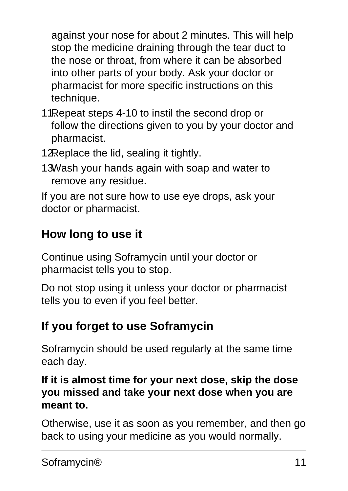against your nose for about 2 minutes. This will help stop the medicine draining through the tear duct to the nose or throat, from where it can be absorbed into other parts of your body. Ask your doctor or pharmacist for more specific instructions on this technique.

- 11. Repeat steps 4-10 to instil the second drop or follow the directions given to you by your doctor and pharmacist.
- 12.Replace the lid, sealing it tightly.
- 13Wash your hands again with soap and water to remove any residue.

If you are not sure how to use eye drops, ask your doctor or pharmacist.

## **How long to use it**

Continue using Soframycin until your doctor or pharmacist tells you to stop.

Do not stop using it unless your doctor or pharmacist tells you to even if you feel better.

## **If you forget to use Soframycin**

Soframycin should be used regularly at the same time each day.

#### **If it is almost time for your next dose, skip the dose you missed and take your next dose when you are meant to.**

Otherwise, use it as soon as you remember, and then go back to using your medicine as you would normally.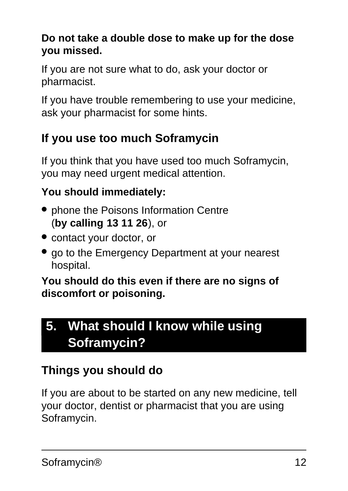#### **Do not take a double dose to make up for the dose you missed.**

If you are not sure what to do, ask your doctor or pharmacist.

If you have trouble remembering to use your medicine, ask your pharmacist for some hints.

## **If you use too much Soframycin**

If you think that you have used too much Soframycin, you may need urgent medical attention.

### **You should immediately:**

- phone the Poisons Information Centre (**by calling 13 11 26**), or
- contact your doctor, or
- go to the Emergency Department at your nearest hospital.

**You should do this even if there are no signs of discomfort or poisoning.**

# <span id="page-11-0"></span>**5. What should I know while using Soframycin?**

# **Things you should do**

If you are about to be started on any new medicine, tell your doctor, dentist or pharmacist that you are using Soframycin.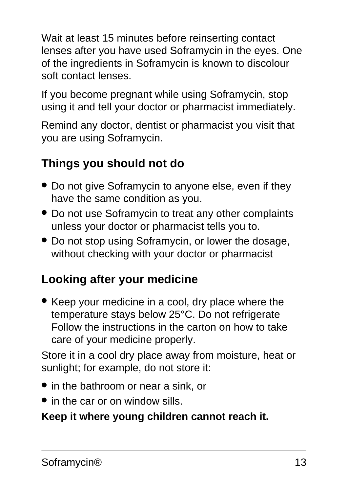Wait at least 15 minutes before reinserting contact lenses after you have used Soframycin in the eyes. One of the ingredients in Soframycin is known to discolour soft contact lenses.

If you become pregnant while using Soframycin, stop using it and tell your doctor or pharmacist immediately.

Remind any doctor, dentist or pharmacist you visit that you are using Soframycin.

## **Things you should not do**

- Do not give Soframycin to anyone else, even if they have the same condition as you.
- Do not use Soframycin to treat any other complaints unless your doctor or pharmacist tells you to.
- Do not stop using Soframycin, or lower the dosage, without checking with your doctor or pharmacist

## **Looking after your medicine**

• Keep your medicine in a cool, dry place where the temperature stays below 25°C. Do not refrigerate Follow the instructions in the carton on how to take care of your medicine properly.

Store it in a cool dry place away from moisture, heat or sunlight; for example, do not store it:

- in the bathroom or near a sink, or
- in the car or on window sills.

#### **Keep it where young children cannot reach it.**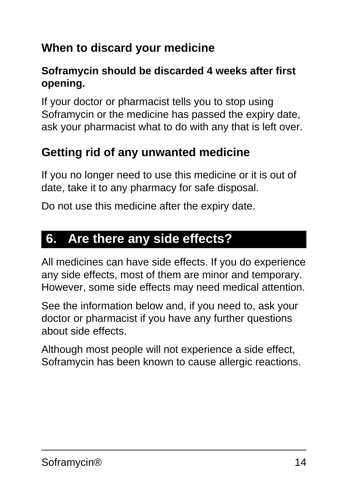## **When to discard your medicine**

#### **Soframycin should be discarded 4 weeks after first opening.**

If your doctor or pharmacist tells you to stop using Soframycin or the medicine has passed the expiry date, ask your pharmacist what to do with any that is left over.

## **Getting rid of any unwanted medicine**

If you no longer need to use this medicine or it is out of date, take it to any pharmacy for safe disposal.

Do not use this medicine after the expiry date.

## <span id="page-13-0"></span>**6. Are there any side effects?**

All medicines can have side effects. If you do experience any side effects, most of them are minor and temporary. However, some side effects may need medical attention.

See the information below and, if you need to, ask your doctor or pharmacist if you have any further questions about side effects.

Although most people will not experience a side effect, Soframycin has been known to cause allergic reactions.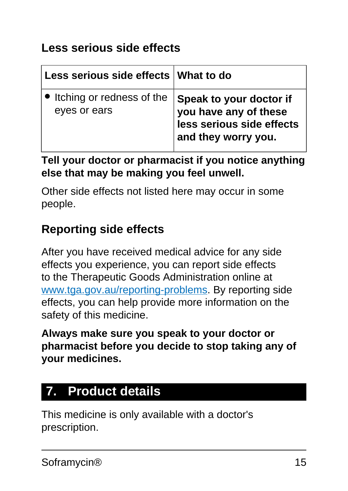### **Less serious side effects**

| Less serious side effects What to do        |                                                                                                      |
|---------------------------------------------|------------------------------------------------------------------------------------------------------|
| • Itching or redness of the<br>eyes or ears | Speak to your doctor if<br>you have any of these<br>less serious side effects<br>and they worry you. |

**Tell your doctor or pharmacist if you notice anything else that may be making you feel unwell.**

Other side effects not listed here may occur in some people.

### **Reporting side effects**

After you have received medical advice for any side effects you experience, you can report side effects to the Therapeutic Goods Administration online at [www.tga.gov.au/reporting-problems.](http://www.tga.gov.au/reporting-problems) By reporting side effects, you can help provide more information on the safety of this medicine.

**Always make sure you speak to your doctor or pharmacist before you decide to stop taking any of your medicines.**

# <span id="page-14-0"></span>**7. Product details**

This medicine is only available with a doctor's prescription.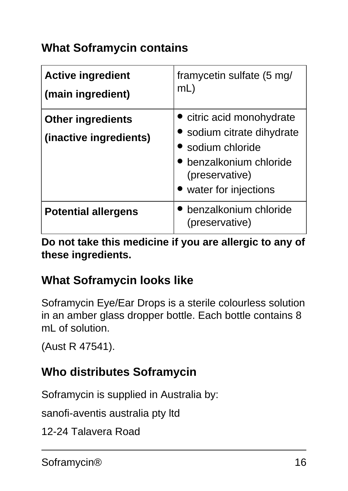### **What Soframycin contains**

| <b>Active ingredient</b><br>(main ingredient)      | framycetin sulfate (5 mg/<br>$mL$ )                                                                                                             |
|----------------------------------------------------|-------------------------------------------------------------------------------------------------------------------------------------------------|
| <b>Other ingredients</b><br>(inactive ingredients) | • citric acid monohydrate<br>• sodium citrate dihydrate<br>sodium chloride<br>benzalkonium chloride<br>(preservative)<br>• water for injections |
| <b>Potential allergens</b>                         | benzalkonium chloride<br>(preservative)                                                                                                         |

**Do not take this medicine if you are allergic to any of these ingredients.**

### **What Soframycin looks like**

Soframycin Eye/Ear Drops is a sterile colourless solution in an amber glass dropper bottle. Each bottle contains 8 mL of solution.

(Aust R 47541).

### **Who distributes Soframycin**

Soframycin is supplied in Australia by:

sanofi-aventis australia pty ltd

12-24 Talavera Road